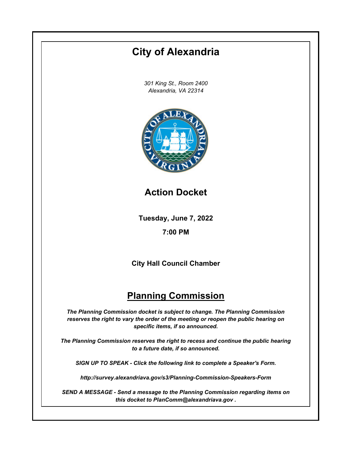## **Tuesday, June 7, 2022 7:00 PM City of Alexandria** *301 King St., Room 2400 Alexandria, VA 22314* **City Hall Council Chamber Planning Commission** *The Planning Commission docket is subject to change. The Planning Commission reserves the right to vary the order of the meeting or reopen the public hearing on specific items, if so announced. The Planning Commission reserves the right to recess and continue the public hearing to a future date, if so announced. SIGN UP TO SPEAK - Click the following link to complete a Speaker's Form. http://survey.alexandriava.gov/s3/Planning-Commission-Speakers-Form SEND A MESSAGE - Send a message to the Planning Commission regarding items on this docket to PlanComm@alexandriava.gov .* **Action Docket**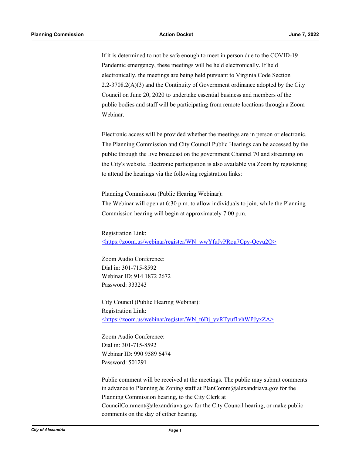If it is determined to not be safe enough to meet in person due to the COVID-19 Pandemic emergency, these meetings will be held electronically. If held electronically, the meetings are being held pursuant to Virginia Code Section 2.2-3708.2(A)(3) and the Continuity of Government ordinance adopted by the City Council on June 20, 2020 to undertake essential business and members of the public bodies and staff will be participating from remote locations through a Zoom Webinar.

Electronic access will be provided whether the meetings are in person or electronic. The Planning Commission and City Council Public Hearings can be accessed by the public through the live broadcast on the government Channel 70 and streaming on the City's website. Electronic participation is also available via Zoom by registering to attend the hearings via the following registration links:

Planning Commission (Public Hearing Webinar):

The Webinar will open at 6:30 p.m. to allow individuals to join, while the Planning Commission hearing will begin at approximately 7:00 p.m.

Registration Link: <https://zoom.us/webinar/register/WN\_wwYfuJvPRou7Cpy-Qevu2Q>

Zoom Audio Conference: Dial in: 301-715-8592 Webinar ID: 914 1872 2672 Password: 333243

City Council (Public Hearing Webinar): Registration Link: <https://zoom.us/webinar/register/WN\_t6Dj\_yvRTyuf1vhWPJyxZA>

Zoom Audio Conference: Dial in: 301-715-8592 Webinar ID: 990 9589 6474 Password: 501291

Public comment will be received at the meetings. The public may submit comments in advance to Planning & Zoning staff at PlanComm@alexandriava.gov for the Planning Commission hearing, to the City Clerk at CouncilComment@alexandriava.gov for the City Council hearing, or make public comments on the day of either hearing.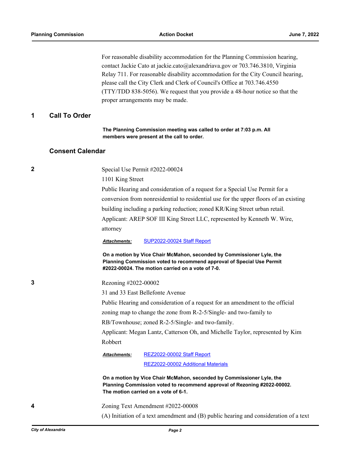For reasonable disability accommodation for the Planning Commission hearing, contact Jackie Cato at jackie.cato@alexandriava.gov or 703.746.3810, Virginia Relay 711. For reasonable disability accommodation for the City Council hearing, please call the City Clerk and Clerk of Council's Office at 703.746.4550 (TTY/TDD 838-5056). We request that you provide a 48-hour notice so that the proper arrangements may be made.

## **1 Call To Order**

**The Planning Commission meeting was called to order at 7:03 p.m. All members were present at the call to order.**

## **Consent Calendar**

**2** Special Use Permit #2022-00024

1101 King Street

Public Hearing and consideration of a request for a Special Use Permit for a conversion from nonresidential to residential use for the upper floors of an existing building including a parking reduction; zoned KR/King Street urban retail. Applicant: AREP SOF III King Street LLC, represented by Kenneth W. Wire, attorney

*Attachments:* [SUP2022-00024 Staff Report](http://alexandria.legistar.com/gateway.aspx?M=F&ID=3b524051-f179-4e47-b893-2345c04b040e.pdf)

**On a motion by Vice Chair McMahon, seconded by Commissioner Lyle, the Planning Commission voted to recommend approval of Special Use Permit #2022-00024. The motion carried on a vote of 7-0.**

**3** Rezoning #2022-00002

31 and 33 East Bellefonte Avenue

Public Hearing and consideration of a request for an amendment to the official

zoning map to change the zone from R-2-5/Single- and two-family to

RB/Townhouse; zoned R-2-5/Single- and two-family.

Applicant: Megan Lantz, Catterson Oh, and Michelle Taylor, represented by Kim Robbert

[REZ2022-00002 Staff Report](http://alexandria.legistar.com/gateway.aspx?M=F&ID=a6ee2f69-1a6d-4265-9a7d-c1493c74cc3e.pdf) *Attachments:*

[REZ2022-00002 Additional Materials](http://alexandria.legistar.com/gateway.aspx?M=F&ID=5b1b9d30-4069-471f-975d-5adab3d72ef5.pdf)

**On a motion by Vice Chair McMahon, seconded by Commissioner Lyle, the Planning Commission voted to recommend approval of Rezoning #2022-00002. The motion carried on a vote of 6-1.**

**4** Zoning Text Amendment #2022-00008

(A) Initiation of a text amendment and (B) public hearing and consideration of a text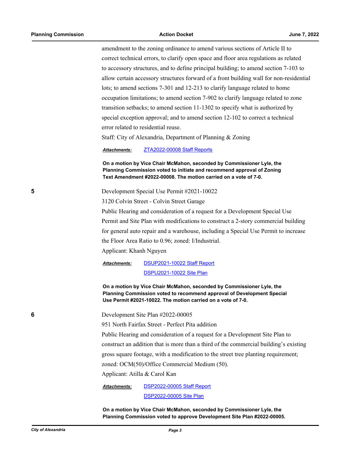amendment to the zoning ordinance to amend various sections of Article II to correct technical errors, to clarify open space and floor area regulations as related to accessory structures, and to define principal building; to amend section 7-103 to allow certain accessory structures forward of a front building wall for non-residential lots; to amend sections 7-301 and 12-213 to clarify language related to home occupation limitations; to amend section 7-902 to clarify language related to zone transition setbacks; to amend section 11-1302 to specify what is authorized by special exception approval; and to amend section 12-102 to correct a technical error related to residential reuse.

Staff: City of Alexandria, Department of Planning & Zoning

*Attachments:* [ZTA2022-00008 Staff Reports](http://alexandria.legistar.com/gateway.aspx?M=F&ID=b6143d2b-b259-4689-a738-19273a7eb7e3.pdf)

**On a motion by Vice Chair McMahon, seconded by Commissioner Lyle, the Planning Commission voted to initiate and recommend approval of Zoning Text Amendment #2022-00008. The motion carried on a vote of 7-0.**

**5** Development Special Use Permit #2021-10022

3120 Colvin Street - Colvin Street Garage

Public Hearing and consideration of a request for a Development Special Use Permit and Site Plan with modifications to construct a 2-story commercial building for general auto repair and a warehouse, including a Special Use Permit to increase the Floor Area Ratio to 0.96; zoned: I/Industrial.

Applicant: Khanh Nguyen

[DSUP2021-10022 Staff Report](http://alexandria.legistar.com/gateway.aspx?M=F&ID=944f3d34-8581-4b05-a1db-9345d0b15285.pdf) [DSPU2021-10022 Site Plan](http://alexandria.legistar.com/gateway.aspx?M=F&ID=92f648f5-1a8e-4e24-b1b6-da0c5f8bd23e.pdf) *Attachments:*

**On a motion by Vice Chair McMahon, seconded by Commissioner Lyle, the Planning Commission voted to recommend approval of Development Special Use Permit #2021-10022. The motion carried on a vote of 7-0.**

**6** Development Site Plan #2022-00005

951 North Fairfax Street - Perfect Pita addition

Public Hearing and consideration of a request for a Development Site Plan to

construct an addition that is more than a third of the commercial building's existing

gross square footage, with a modification to the street tree planting requirement;

zoned: OCM(50)/Office Commercial Medium (50).

Applicant: Atilla & Carol Kan

[DSP2022-00005 Staff Report](http://alexandria.legistar.com/gateway.aspx?M=F&ID=103f120c-6ad6-4a0a-b0da-2b8dfa608409.pdf) [DSP2022-00005 Site Plan](http://alexandria.legistar.com/gateway.aspx?M=F&ID=fad831de-578c-4543-869a-c54e5591c4ac.pdf) *Attachments:*

**On a motion by Vice Chair McMahon, seconded by Commissioner Lyle, the Planning Commission voted to approve Development Site Plan #2022-00005.**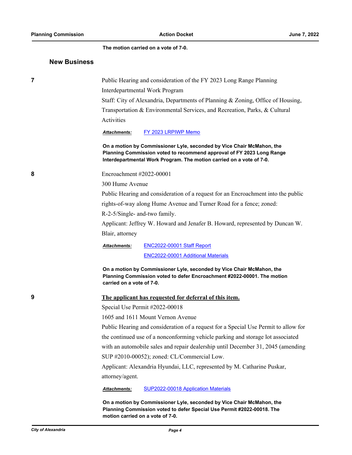**The motion carried on a vote of 7-0.**

## **New Business**

| 7 |                                                                         | Public Hearing and consideration of the FY 2023 Long Range Planning                                                                                                                                                    |  |
|---|-------------------------------------------------------------------------|------------------------------------------------------------------------------------------------------------------------------------------------------------------------------------------------------------------------|--|
|   |                                                                         | Interdepartmental Work Program                                                                                                                                                                                         |  |
|   |                                                                         | Staff: City of Alexandria, Departments of Planning & Zoning, Office of Housing,                                                                                                                                        |  |
|   |                                                                         | Transportation & Environmental Services, and Recreation, Parks, & Cultural                                                                                                                                             |  |
|   | Activities                                                              |                                                                                                                                                                                                                        |  |
|   | Attachments:                                                            | FY 2023 LRPIWP Memo                                                                                                                                                                                                    |  |
|   |                                                                         | On a motion by Commissioner Lyle, seconded by Vice Chair McMahon, the<br>Planning Commission voted to recommend approval of FY 2023 Long Range<br>Interdepartmental Work Program. The motion carried on a vote of 7-0. |  |
| 8 | Encroachment #2022-00001                                                |                                                                                                                                                                                                                        |  |
|   | 300 Hume Avenue                                                         |                                                                                                                                                                                                                        |  |
|   |                                                                         | Public Hearing and consideration of a request for an Encroachment into the public                                                                                                                                      |  |
|   |                                                                         | rights-of-way along Hume Avenue and Turner Road for a fence; zoned:                                                                                                                                                    |  |
|   | R-2-5/Single- and-two family.                                           |                                                                                                                                                                                                                        |  |
|   |                                                                         | Applicant: Jeffrey W. Howard and Jenafer B. Howard, represented by Duncan W.                                                                                                                                           |  |
|   | Blair, attorney                                                         |                                                                                                                                                                                                                        |  |
|   | Attachments:                                                            | ENC2022-00001 Staff Report                                                                                                                                                                                             |  |
|   |                                                                         | <b>ENC2022-00001 Additional Materials</b>                                                                                                                                                                              |  |
|   | carried on a vote of 7-0.                                               | On a motion by Commissioner Lyle, seconded by Vice Chair McMahon, the<br>Planning Commission voted to defer Encroachment #2022-00001. The motion                                                                       |  |
| 9 |                                                                         | The applicant has requested for deferral of this item.                                                                                                                                                                 |  |
|   |                                                                         | Special Use Permit #2022-00018                                                                                                                                                                                         |  |
|   |                                                                         | 1605 and 1611 Mount Vernon Avenue                                                                                                                                                                                      |  |
|   |                                                                         | Public Hearing and consideration of a request for a Special Use Permit to allow for                                                                                                                                    |  |
|   |                                                                         | the continued use of a nonconforming vehicle parking and storage lot associated                                                                                                                                        |  |
|   |                                                                         | with an automobile sales and repair dealership until December 31, 2045 (amending                                                                                                                                       |  |
|   | SUP #2010-00052); zoned: CL/Commercial Low.                             |                                                                                                                                                                                                                        |  |
|   | Applicant: Alexandria Hyundai, LLC, represented by M. Catharine Puskar, |                                                                                                                                                                                                                        |  |
|   | attorney/agent.                                                         |                                                                                                                                                                                                                        |  |
|   | Attachments:                                                            | SUP2022-00018 Application Materials                                                                                                                                                                                    |  |
|   |                                                                         | On a motion by Commissioner Lyle, seconded by Vice Chair McMahon, the<br>Planning Commission voted to defer Special Use Permit #2022-00018. The                                                                        |  |

**motion carried on a vote of 7-0.**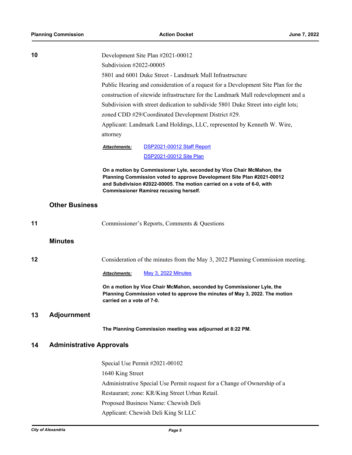| 10 |                                 | Development Site Plan #2021-00012                                                                                                                                                                                                                                                                                       |                                                                                                                                                 |  |  |
|----|---------------------------------|-------------------------------------------------------------------------------------------------------------------------------------------------------------------------------------------------------------------------------------------------------------------------------------------------------------------------|-------------------------------------------------------------------------------------------------------------------------------------------------|--|--|
|    |                                 | Subdivision #2022-00005                                                                                                                                                                                                                                                                                                 |                                                                                                                                                 |  |  |
|    |                                 | 5801 and 6001 Duke Street - Landmark Mall Infrastructure<br>Public Hearing and consideration of a request for a Development Site Plan for the<br>construction of sitewide infrastructure for the Landmark Mall redevelopment and a<br>Subdivision with street dedication to subdivide 5801 Duke Street into eight lots; |                                                                                                                                                 |  |  |
|    |                                 |                                                                                                                                                                                                                                                                                                                         |                                                                                                                                                 |  |  |
|    |                                 |                                                                                                                                                                                                                                                                                                                         |                                                                                                                                                 |  |  |
|    |                                 |                                                                                                                                                                                                                                                                                                                         |                                                                                                                                                 |  |  |
|    |                                 | zoned CDD #29/Coordinated Development District #29.<br>Applicant: Landmark Land Holdings, LLC, represented by Kenneth W. Wire,                                                                                                                                                                                          |                                                                                                                                                 |  |  |
|    |                                 |                                                                                                                                                                                                                                                                                                                         |                                                                                                                                                 |  |  |
|    |                                 | attorney                                                                                                                                                                                                                                                                                                                |                                                                                                                                                 |  |  |
|    |                                 | Attachments:                                                                                                                                                                                                                                                                                                            | DSP2021-00012 Staff Report                                                                                                                      |  |  |
|    |                                 |                                                                                                                                                                                                                                                                                                                         | <b>DSP2021-00012 Site Plan</b>                                                                                                                  |  |  |
|    |                                 |                                                                                                                                                                                                                                                                                                                         |                                                                                                                                                 |  |  |
|    |                                 |                                                                                                                                                                                                                                                                                                                         | On a motion by Commissioner Lyle, seconded by Vice Chair McMahon, the<br>Planning Commission voted to approve Development Site Plan #2021-00012 |  |  |
|    |                                 |                                                                                                                                                                                                                                                                                                                         | and Subdivision #2022-00005. The motion carried on a vote of 6-0, with                                                                          |  |  |
|    |                                 |                                                                                                                                                                                                                                                                                                                         | <b>Commissioner Ramirez recusing herself.</b>                                                                                                   |  |  |
|    | <b>Other Business</b>           |                                                                                                                                                                                                                                                                                                                         |                                                                                                                                                 |  |  |
|    |                                 |                                                                                                                                                                                                                                                                                                                         |                                                                                                                                                 |  |  |
| 11 |                                 |                                                                                                                                                                                                                                                                                                                         | Commissioner's Reports, Comments & Questions                                                                                                    |  |  |
|    |                                 |                                                                                                                                                                                                                                                                                                                         |                                                                                                                                                 |  |  |
|    | <b>Minutes</b>                  |                                                                                                                                                                                                                                                                                                                         |                                                                                                                                                 |  |  |
|    |                                 |                                                                                                                                                                                                                                                                                                                         |                                                                                                                                                 |  |  |
| 12 |                                 |                                                                                                                                                                                                                                                                                                                         | Consideration of the minutes from the May 3, 2022 Planning Commission meeting.                                                                  |  |  |
|    |                                 | <b>Attachments:</b>                                                                                                                                                                                                                                                                                                     | May 3, 2022 Minutes                                                                                                                             |  |  |
|    |                                 |                                                                                                                                                                                                                                                                                                                         | On a motion by Vice Chair McMahon, seconded by Commissioner Lyle, the                                                                           |  |  |
|    |                                 |                                                                                                                                                                                                                                                                                                                         | Planning Commission voted to approve the minutes of May 3, 2022. The motion                                                                     |  |  |
|    |                                 | carried on a vote of 7-0.                                                                                                                                                                                                                                                                                               |                                                                                                                                                 |  |  |
| 13 | <b>Adjournment</b>              |                                                                                                                                                                                                                                                                                                                         |                                                                                                                                                 |  |  |
|    |                                 |                                                                                                                                                                                                                                                                                                                         | The Planning Commission meeting was adjourned at 8:22 PM.                                                                                       |  |  |
|    |                                 |                                                                                                                                                                                                                                                                                                                         |                                                                                                                                                 |  |  |
| 14 | <b>Administrative Approvals</b> |                                                                                                                                                                                                                                                                                                                         |                                                                                                                                                 |  |  |
|    |                                 |                                                                                                                                                                                                                                                                                                                         | Special Use Permit #2021-00102                                                                                                                  |  |  |
|    |                                 | 1640 King Street                                                                                                                                                                                                                                                                                                        |                                                                                                                                                 |  |  |
|    |                                 |                                                                                                                                                                                                                                                                                                                         | Administrative Special Use Permit request for a Change of Ownership of a                                                                        |  |  |
|    |                                 |                                                                                                                                                                                                                                                                                                                         | Restaurant; zone: KR/King Street Urban Retail.                                                                                                  |  |  |
|    |                                 |                                                                                                                                                                                                                                                                                                                         | Proposed Business Name: Chewish Deli                                                                                                            |  |  |
|    |                                 |                                                                                                                                                                                                                                                                                                                         | Applicant: Chewish Deli King St LLC                                                                                                             |  |  |
|    |                                 |                                                                                                                                                                                                                                                                                                                         |                                                                                                                                                 |  |  |